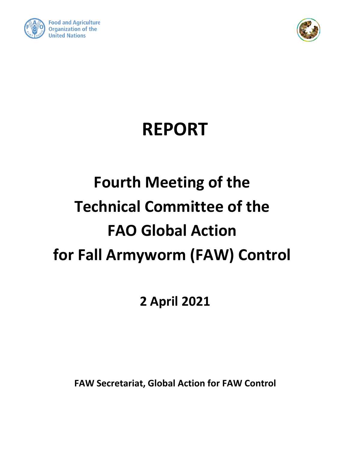



# **REPORT**

# **Fourth Meeting of the Technical Committee of the FAO Global Action for Fall Armyworm (FAW) Control**

# **2 April 2021**

**FAW Secretariat, Global Action for FAW Control**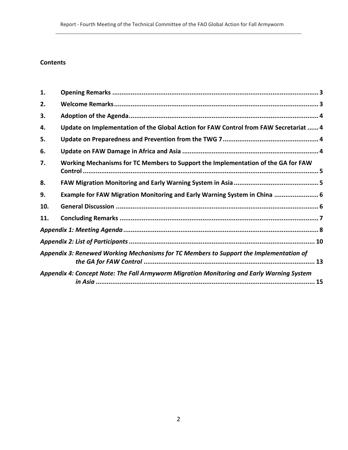# **Contents**

Control

| 1.  |                                                                                           |  |
|-----|-------------------------------------------------------------------------------------------|--|
| 2.  |                                                                                           |  |
| 3.  |                                                                                           |  |
| 4.  | Update on Implementation of the Global Action for FAW Control from FAW Secretariat  4     |  |
| 5.  |                                                                                           |  |
| 6.  |                                                                                           |  |
| 7.  | Working Mechanisms for TC Members to Support the Implementation of the GA for FAW         |  |
| 8.  |                                                                                           |  |
| 9.  | Example for FAW Migration Monitoring and Early Warning System in China  6                 |  |
| 10. |                                                                                           |  |
| 11. |                                                                                           |  |
|     |                                                                                           |  |
|     |                                                                                           |  |
|     | Appendix 3: Renewed Working Mechanisms for TC Members to Support the Implementation of    |  |
|     | Appendix 4: Concept Note: The Fall Armyworm Migration Monitoring and Early Warning System |  |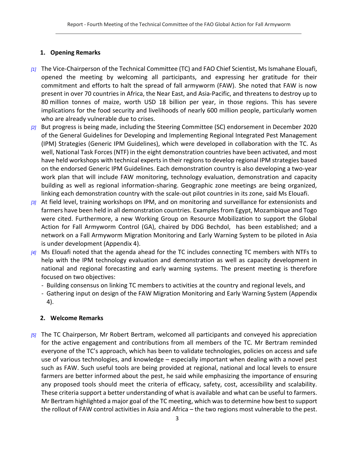# <span id="page-2-0"></span>**1. Opening Remarks**

- *[1]* The Vice-Chairperson of the Technical Committee (TC) and FAO Chief Scientist, Ms Ismahane Elouafi, opened the meeting by welcoming all participants, and expressing her gratitude for their commitment and efforts to halt the spread of fall armyworm (FAW). She noted that FAW is now present in over 70 countries in Africa, the Near East, and Asia-Pacific, and threatens to destroy up to 80 million tonnes of maize, worth USD 18 billion per year, in those regions. This has severe implications for the food security and livelihoods of nearly 600 million people, particularly women who are already vulnerable due to crises.
- *[2]* But progress is being made, including the Steering Committee (SC) endorsement in December 2020 of the General Guidelines for Developing and Implementing Regional Integrated Pest Management (IPM) Strategies (Generic IPM Guidelines), which were developed in collaboration with the TC. As well, National Task Forces (NTF) in the eight demonstration countries have been activated, and most have held workshops with technical experts in their regions to develop regional IPM strategies based on the endorsed Generic IPM Guidelines. Each demonstration country is also developing a two-year work plan that will include FAW monitoring, technology evaluation, demonstration and capacity building as well as regional information-sharing. Geographic zone meetings are being organized, linking each demonstration country with the scale-out pilot countries in its zone, said Ms Elouafi.
- *[3]* At field level, training workshops on IPM, and on monitoring and surveillance for extensionists and farmers have been held in all demonstration countries. Examples from Egypt, Mozambique and Togo were cited. Furthermore, a new Working Group on Resource Mobilization to support the Global Action for Fall Armyworm Control (GA), chaired by DDG Bechdol, has been established; and a network on a Fall Armyworm Migration Monitoring and Early Warning System to be piloted in Asia is under development (Appendix 4).
- *[4]* Ms Elouafi noted that the agenda ahead for the TC includes connecting TC members with NTFs to help with the IPM technology evaluation and demonstration as well as capacity development in national and regional forecasting and early warning systems. The present meeting is therefore focused on two objectives:
	- Building consensus on linking TC members to activities at the country and regional levels, and
	- Gathering input on design of the FAW Migration Monitoring and Early Warning System (Appendix 4).

# <span id="page-2-1"></span>**2. Welcome Remarks**

*[5]* The TC Chairperson, Mr Robert Bertram, welcomed all participants and conveyed his appreciation for the active engagement and contributions from all members of the TC. Mr Bertram reminded everyone of the TC's approach, which has been to validate technologies, policies on access and safe use of various technologies, and knowledge – especially important when dealing with a novel pest such as FAW. Such useful tools are being provided at regional, national and local levels to ensure farmers are better informed about the pest, he said while emphasizing the importance of ensuring any proposed tools should meet the criteria of efficacy, safety, cost, accessibility and scalability. These criteria support a better understanding of what is available and what can be useful to farmers. Mr Bertram highlighted a major goal of the TC meeting, which was to determine how best to support the rollout of FAW control activities in Asia and Africa – the two regions most vulnerable to the pest.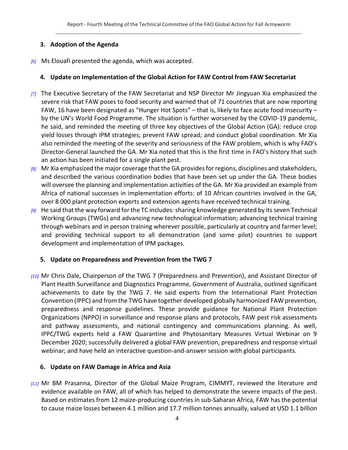## **3. Adoption of the Agenda**

<span id="page-3-1"></span><span id="page-3-0"></span>*[6]* Ms Elouafi presented the agenda, which was accepted.

# **4. Update on Implementation of the Global Action for FAW Control from FAW Secretariat**

- *[7]* The Executive Secretary of the FAW Secretariat and NSP Director Mr Jingyuan Xia emphasized the severe risk that FAW poses to food security and warned that of 71 countries that are now reporting FAW, 16 have been designated as "Hunger Hot Spots" – that is, likely to face acute food insecurity – by the UN's World Food Programme. The situation is further worsened by the COVID-19 pandemic, he said, and reminded the meeting of three key objectives of the Global Action (GA): reduce crop yield losses through IPM strategies; prevent FAW spread; and conduct global coordination. Mr Xia also reminded the meeting of the severity and seriousness of the FAW problem, which is why FAO's Director-General launched the GA. Mr Xia noted that this is the first time in FAO's history that such an action has been initiated for a single plant pest.
- *[8]* Mr Xia emphasized the major coverage that the GA provides for regions, disciplines and stakeholders, and described the various coordination bodies that have been set up under the GA. These bodies will oversee the planning and implementation activities of the GA. Mr Xia provided an example from Africa of national successes in implementation efforts: of 10 African countries involved in the GA, over 8 000 plant protection experts and extension agents have received technical training.
- *[9]* He said that the way forward for the TC includes: sharing knowledge generated by itsseven Technical Working Groups (TWGs) and advancing new technological information; advancing technical training through webinars and in person training wherever possible, particularly at country and farmer level; and providing technical support to all demonstration (and some pilot) countries to support development and implementation of IPM packages.

# <span id="page-3-2"></span>**5. Update on Preparedness and Prevention from the TWG 7**

*[10]* Mr Chris Dale, Chairperson of the TWG 7 (Preparedness and Prevention), and Assistant Director of Plant Health Surveillance and Diagnostics Programme, Government of Australia, outlined significant achievements to date by the TWG 7. He said experts from the International Plant Protection Convention (IPPC) and from the TWG have together developed globally harmonized FAW prevention, preparedness and response guidelines. These provide guidance for National Plant Protection Organizations (NPPO) in surveillance and response plans and protocols, FAW pest risk assessments and pathway assessments, and national contingency and communications planning. As well, IPPC/TWG experts held a FAW Quarantine and Phytosanitary Measures Virtual Webinar on 9 December 2020; successfully delivered a global FAW prevention, preparedness and response virtual webinar; and have held an interactive question-and-answer session with global participants.

# <span id="page-3-3"></span>**6. Update on FAW Damage in Africa and Asia**

*[11]* Mr BM Prasanna, Director of the Global Maize Program, CIMMYT, reviewed the literature and evidence available on FAW, all of which has helped to demonstrate the severe impacts of the pest. Based on estimates from 12 maize-producing countries in sub-Saharan Africa, FAW has the potential to cause maize losses between 4.1 million and 17.7 million tonnes annually, valued at USD 1.1 billion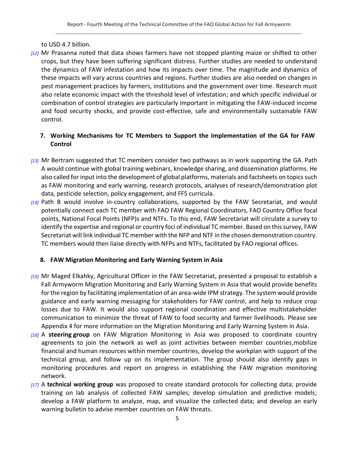to USD 4.7 billion.

*[12]* Mr Prasanna noted that data shows farmers have not stopped planting maize or shifted to other crops, but they have been suffering significant distress. Further studies are needed to understand the dynamics of FAW infestation and how its impacts over time. The magnitude and dynamics of these impacts will vary across countries and regions. Further studies are also needed on changes in pest management practices by farmers, institutions and the government over time. Research must also relate economic impact with the threshold level of infestation; and which specific individual or combination of control strategies are particularly important in mitigating the FAW-induced income and food security shocks, and provide cost-effective, safe and environmentally sustainable FAW control.

# <span id="page-4-0"></span>**7. Working Mechanisms for TC Members to Support the Implementation of the GA for FAW Control**

- *[13]* Mr Bertram suggested that TC members consider two pathways as in work supporting the GA. Path A would continue with global training webinars, knowledge sharing, and dissemination platforms. He also called for input into the development of global platforms, materials and factsheets on topics such as FAW monitoring and early warning, research protocols, analyses of research/demonstration plot data, pesticide selection, policy engagement, and FFS curricula.
- *[14]* Path B would involve in-country collaborations, supported by the FAW Secretariat, and would potentially connect each TC member with FAO FAW Regional Coordinators, FAO Country Office focal points, National Focal Points (NFP)s and NTFs. To this end, FAW Secretariat will circulate a survey to identify the expertise and regional or country foci of individual TC member. Based on this survey, FAW Secretariat will link individual TC member with the NFP and NTF in the chosen demonstration country. TC members would then liaise directly with NFPs and NTFs, facilitated by FAO regional offices.

# <span id="page-4-1"></span>**8. FAW Migration Monitoring and Early Warning System in Asia**

- *[15]* Mr Maged Elkahky, Agricultural Officer in the FAW Secretariat, presented a proposal to establish a Fall Armyworm Migration Monitoring and Early Warning System in Asia that would provide benefits for the region by facilitating implementation of an area-wide IPM strategy. The system would provide guidance and early warning messaging for stakeholders for FAW control, and help to reduce crop losses due to FAW. It would also support regional coordination and effective multistakeholder communication to minimize the threat of FAW to food security and farmer livelihoods. Please see Appendix 4 for more information on the Migration Monitoring and Early Warning System in Asia.
- *[16]* A **steering group** on FAW Migration Monitoring in Asia was proposed to coordinate country agreements to join the network as well as joint activities between member countries,mobilize financial and human resources within member countries, develop the workplan with support of the technical group, and follow up on its implementation. The group should also identify gaps in monitoring procedures and report on progress in establishing the FAW migration monitoring network.
- *[17]* A **technical working group** was proposed to create standard protocols for collecting data; provide training on lab analysis of collected FAW samples; develop simulation and predictive models; develop a FAW platform to analyze, map, and visualize the collected data; and develop an early warning bulletin to advise member countries on FAW threats.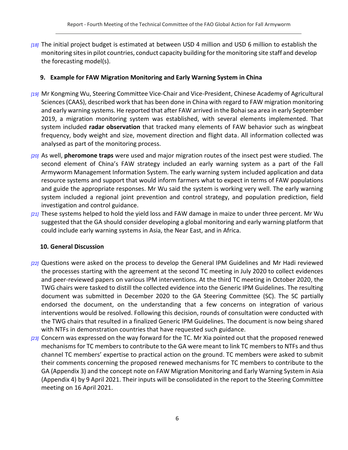*[18]* The initial project budget is estimated at between USD 4 million and USD 6 million to establish the monitoring sites in pilot countries, conduct capacity building for the monitoring site staff and develop the forecasting model(s).

# <span id="page-5-0"></span>**9. Example for FAW Migration Monitoring and Early Warning System in China**

- *[19]* Mr Kongming Wu, Steering Committee Vice-Chair and Vice-President, Chinese Academy of Agricultural Sciences (CAAS), described work that has been done in China with regard to FAW migration monitoring and early warning systems. He reported that after FAW arrived in the Bohai sea area in early September 2019, a migration monitoring system was established, with several elements implemented. That system included **radar observation** that tracked many elements of FAW behavior such as wingbeat frequency, body weight and size, movement direction and flight data. All information collected was analysed as part of the monitoring process.
- *[20]* As well, **pheromone traps** were used and major migration routes of the insect pest were studied. The second element of China's FAW strategy included an early warning system as a part of the Fall Armyworm Management Information System. The early warning system included application and data resource systems and support that would inform farmers what to expect in terms of FAW populations and guide the appropriate responses. Mr Wu said the system is working very well. The early warning system included a regional joint prevention and control strategy, and population prediction, field investigation and control guidance.
- *[21]* These systems helped to hold the yield loss and FAW damage in maize to under three percent. Mr Wu suggested that the GA should consider developing a global monitoring and early warning platform that could include early warning systems in Asia, the Near East, and in Africa.

# <span id="page-5-1"></span>**10. General Discussion**

- *[22]* Questions were asked on the process to develop the General IPM Guidelines and Mr Hadi reviewed the processes starting with the agreement at the second TC meeting in July 2020 to collect evidences and peer-reviewed papers on various IPM interventions. At the third TC meeting in October 2020, the TWG chairs were tasked to distill the collected evidence into the Generic IPM Guidelines. The resulting document was submitted in December 2020 to the GA Steering Committee (SC). The SC partially endorsed the document, on the understanding that a few concerns on integration of various interventions would be resolved. Following this decision, rounds of consultation were conducted with the TWG chairs that resulted in a finalized Generic IPM Guidelines. The document is now being shared with NTFs in demonstration countries that have requested such guidance.
- *[23]* Concern was expressed on the way forward for the TC. Mr Xia pointed out that the proposed renewed mechanisms for TC members to contribute to the GA were meant to link TC members to NTFs and thus channel TC members' expertise to practical action on the ground. TC members were asked to submit their comments concerning the proposed renewed mechanisms for TC members to contribute to the GA (Appendix 3) and the concept note on FAW Migration Monitoring and Early Warning System in Asia (Appendix 4) by 9 April 2021. Their inputs will be consolidated in the report to the Steering Committee meeting on 16 April 2021.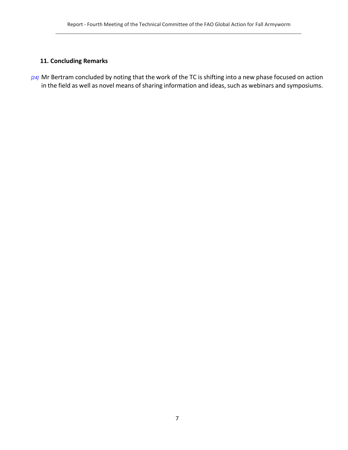# <span id="page-6-0"></span>**11. Concluding Remarks**

*[24]* Mr Bertram concluded by noting that the work of the TC is shifting into a new phase focused on action in the field as well as novel means of sharing information and ideas, such as webinars and symposiums.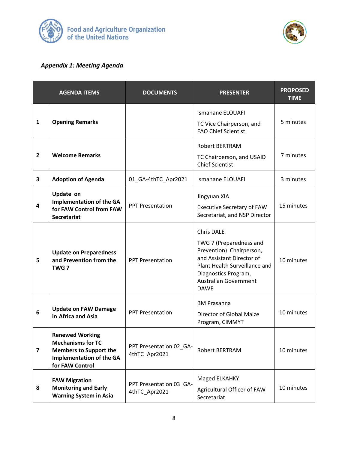



# <span id="page-7-0"></span>*Appendix 1: Meeting Agenda*

|                         | <b>AGENDA ITEMS</b>                                                                                                                       | <b>DOCUMENTS</b>                         | <b>PRESENTER</b>                                                                                                                                                                                              | <b>PROPOSED</b><br><b>TIME</b> |
|-------------------------|-------------------------------------------------------------------------------------------------------------------------------------------|------------------------------------------|---------------------------------------------------------------------------------------------------------------------------------------------------------------------------------------------------------------|--------------------------------|
| 1                       | <b>Opening Remarks</b>                                                                                                                    |                                          | <b>Ismahane ELOUAFI</b><br>TC Vice Chairperson, and<br><b>FAO Chief Scientist</b>                                                                                                                             | 5 minutes                      |
| $\overline{2}$          | <b>Welcome Remarks</b>                                                                                                                    |                                          | <b>Robert BERTRAM</b><br>TC Chairperson, and USAID<br><b>Chief Scientist</b>                                                                                                                                  | 7 minutes                      |
| 3                       | <b>Adoption of Agenda</b>                                                                                                                 | 01_GA-4thTC_Apr2021                      | <b>Ismahane ELOUAFI</b>                                                                                                                                                                                       | 3 minutes                      |
| 4                       | Update on<br><b>Implementation of the GA</b><br>for FAW Control from FAW<br><b>Secretariat</b>                                            | <b>PPT Presentation</b>                  | Jingyuan XIA<br><b>Executive Secretary of FAW</b><br>Secretariat, and NSP Director                                                                                                                            | 15 minutes                     |
| 5                       | <b>Update on Preparedness</b><br>and Prevention from the<br>TWG <sub>7</sub>                                                              | <b>PPT Presentation</b>                  | <b>Chris DALE</b><br>TWG 7 (Preparedness and<br>Prevention) Chairperson,<br>and Assistant Director of<br>Plant Health Surveillance and<br>Diagnostics Program,<br><b>Australian Government</b><br><b>DAWE</b> | 10 minutes                     |
| 6                       | <b>Update on FAW Damage</b><br>in Africa and Asia                                                                                         | <b>PPT Presentation</b>                  | <b>BM Prasanna</b><br>Director of Global Maize<br>Program, CIMMYT                                                                                                                                             | 10 minutes                     |
| $\overline{\mathbf{z}}$ | <b>Renewed Working</b><br><b>Mechanisms for TC</b><br><b>Members to Support the</b><br><b>Implementation of the GA</b><br>for FAW Control | PPT Presentation 02_GA-<br>4thTC_Apr2021 | Robert BERTRAM                                                                                                                                                                                                | 10 minutes                     |
| 8                       | <b>FAW Migration</b><br><b>Monitoring and Early</b><br><b>Warning System in Asia</b>                                                      | PPT Presentation 03_GA-<br>4thTC_Apr2021 | Maged ELKAHKY<br>Agricultural Officer of FAW<br>Secretariat                                                                                                                                                   | 10 minutes                     |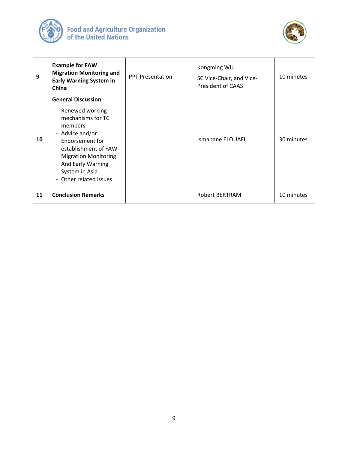



| 9  | <b>Example for FAW</b><br><b>Migration Monitoring and</b><br><b>Early Warning System in</b><br>China                                                                                                                                                                   | <b>PPT Presentation</b> | Kongming WU<br>SC Vice-Chair, and Vice-<br><b>President of CAAS</b> | 10 minutes |
|----|------------------------------------------------------------------------------------------------------------------------------------------------------------------------------------------------------------------------------------------------------------------------|-------------------------|---------------------------------------------------------------------|------------|
| 10 | <b>General Discussion</b><br>- Renewed working<br>mechanisms for TC<br>members<br>- Advice and/or<br>Endorsement for<br>establishment of FAW<br><b>Migration Monitoring</b><br>And Early Warning<br>System in Asia<br>Other related issues<br>$\overline{\phantom{0}}$ |                         | <b>Ismahane ELOUAFI</b>                                             | 30 minutes |
| 11 | <b>Conclusion Remarks</b>                                                                                                                                                                                                                                              |                         | Robert BERTRAM                                                      | 10 minutes |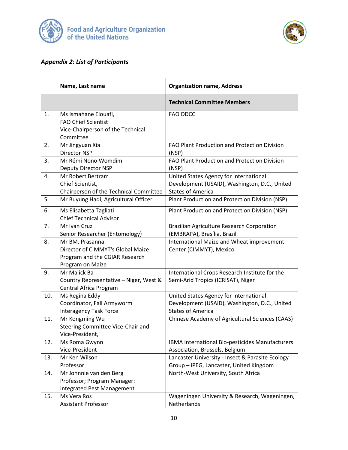



# <span id="page-9-0"></span>*Appendix 2: List of Participants*

|     | Name, Last name                                                                                            | <b>Organization name, Address</b>                                                                                   |  |  |  |
|-----|------------------------------------------------------------------------------------------------------------|---------------------------------------------------------------------------------------------------------------------|--|--|--|
|     |                                                                                                            | <b>Technical Committee Members</b>                                                                                  |  |  |  |
| 1.  | Ms Ismahane Elouafi,<br><b>FAO Chief Scientist</b><br>Vice-Chairperson of the Technical<br>Committee       | <b>FAO DDCC</b>                                                                                                     |  |  |  |
| 2.  | Mr Jingyuan Xia<br><b>Director NSP</b>                                                                     | FAO Plant Production and Protection Division<br>(NSP)                                                               |  |  |  |
| 3.  | Mr Rémi Nono Womdim<br>Deputy Director NSP                                                                 | FAO Plant Production and Protection Division<br>(NSP)                                                               |  |  |  |
| 4.  | Mr Robert Bertram<br>Chief Scientist,<br>Chairperson of the Technical Committee                            | United States Agency for International<br>Development (USAID), Washington, D.C., United<br><b>States of America</b> |  |  |  |
| 5.  | Mr Buyung Hadi, Agricultural Officer                                                                       | Plant Production and Protection Division (NSP)                                                                      |  |  |  |
| 6.  | Ms Elisabetta Tagliati<br><b>Chief Technical Advisor</b>                                                   | Plant Production and Protection Division (NSP)                                                                      |  |  |  |
| 7.  | Mr Ivan Cruz<br>Senior Researcher (Entomology)                                                             | <b>Brazilian Agriculture Research Corporation</b><br>(EMBRAPA), Brasília, Brazil                                    |  |  |  |
| 8.  | Mr BM. Prasanna<br>Director of CIMMYT's Global Maize<br>Program and the CGIAR Research<br>Program on Maize | International Maize and Wheat improvement<br>Center (CIMMYT), Mexico                                                |  |  |  |
| 9.  | Mr Malick Ba<br>Country Representative - Niger, West &<br>Central Africa Program                           | International Crops Research Institute for the<br>Semi-Arid Tropics (ICRISAT), Niger                                |  |  |  |
| 10. | Ms Regina Eddy<br>Coordinator, Fall Armyworm<br><b>Interagency Task Force</b>                              | United States Agency for International<br>Development (USAID), Washington, D.C., United<br><b>States of America</b> |  |  |  |
| 11. | Mr Kongming Wu<br>Steering Committee Vice-Chair and<br>Vice-President,                                     | Chinese Academy of Agricultural Sciences (CAAS)                                                                     |  |  |  |
| 12. | Ms Roma Gwynn<br>Vice-President                                                                            | IBMA International Bio-pesticides Manufacturers<br>Association, Brussels, Belgium                                   |  |  |  |
| 13. | Mr Ken Wilson<br>Professor                                                                                 | Lancaster University - Insect & Parasite Ecology<br>Group - iPEG, Lancaster, United Kingdom                         |  |  |  |
| 14. | Mr Johnnie van den Berg<br>Professor; Program Manager:<br><b>Integrated Pest Management</b>                | North-West University, South Africa                                                                                 |  |  |  |
| 15. | Ms Vera Ros<br><b>Assistant Professor</b>                                                                  | Wageningen University & Research, Wageningen,<br>Netherlands                                                        |  |  |  |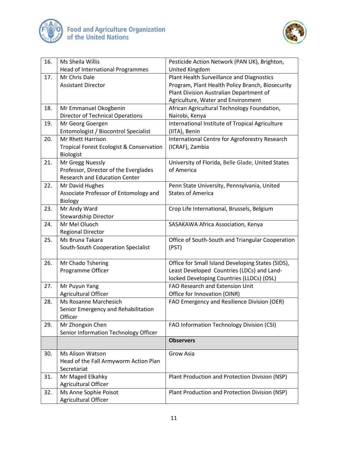



| 16. | Ms Sheila Willis                                    | Pesticide Action Network (PAN UK), Brighton,      |
|-----|-----------------------------------------------------|---------------------------------------------------|
|     | Head of International Programmes                    | United Kingdom                                    |
| 17. | Mr Chris Dale                                       | Plant Health Surveillance and Diagnostics         |
|     | <b>Assistant Director</b>                           | Program, Plant Health Policy Branch, Biosecurity  |
|     |                                                     | Plant Division Australian Department of           |
|     |                                                     | Agriculture, Water and Environment                |
| 18. | Mr Emmanuel Okogbenin                               | African Agricultural Technology Foundation,       |
|     | <b>Director of Technical Operations</b>             | Nairobi, Kenya                                    |
| 19. | Mr Georg Goergen                                    | International Institute of Tropical Agriculture   |
|     | Entomologist / Biocontrol Specialist                | (IITA), Benin                                     |
| 20. | Mr Rhett Harrison                                   | International Centre for Agroforestry Research    |
|     | <b>Tropical Forest Ecologist &amp; Conservation</b> | (ICRAF), Zambia                                   |
|     | Biologist                                           |                                                   |
| 21. | Mr Gregg Nuessly                                    | University of Florida, Belle Glade, United States |
|     | Professor, Director of the Everglades               | of America                                        |
|     | Research and Education Center                       |                                                   |
| 22. | Mr David Hughes                                     | Penn State University, Pennsylvania, United       |
|     | Associate Professor of Entomology and               | <b>States of America</b>                          |
|     | <b>Biology</b>                                      |                                                   |
| 23. | Mr Andy Ward                                        | Crop Life International, Brussels, Belgium        |
|     | Stewardship Director                                |                                                   |
| 24. | Mr Mel Oluoch                                       | SASAKAWA Africa Association, Kenya                |
|     | <b>Regional Director</b>                            |                                                   |
| 25. | Ms Bruna Takara                                     | Office of South-South and Triangular Cooperation  |
|     | South-South Cooperation Specialist                  | (PST)                                             |
|     |                                                     |                                                   |
| 26. | Mr Chado Tshering                                   | Office for Small Island Developing States (SIDS), |
|     | Programme Officer                                   | Least Developed Countries (LDCs) and Land-        |
|     |                                                     | locked Developing Countries (LLDCs) (OSL)         |
| 27. | Mr Puyun Yang                                       | <b>FAO Research and Extension Unit</b>            |
|     | Agricultural Officer                                | Office for Innovation (OINR)                      |
| 28. | Ms Rosanne Marchesich                               | FAO Emergency and Resilience Division (OER)       |
|     | Senior Emergency and Rehabilitation                 |                                                   |
|     | Officer                                             |                                                   |
| 29. | Mr Zhongxin Chen                                    | FAO Information Technology Division (CSI)         |
|     | Senior Information Technology Officer               |                                                   |
|     |                                                     | <b>Observers</b>                                  |
| 30. | <b>Ms Alison Watson</b>                             | Grow Asia                                         |
|     | Head of the Fall Armyworm Action Plan               |                                                   |
|     | Secretariat                                         |                                                   |
| 31. | Mr Maged Elkahky                                    | Plant Production and Protection Division (NSP)    |
|     | Agricultural Officer                                |                                                   |
| 32. | Ms Anne Sophie Poisot                               | Plant Production and Protection Division (NSP)    |
|     | Agricultural Officer                                |                                                   |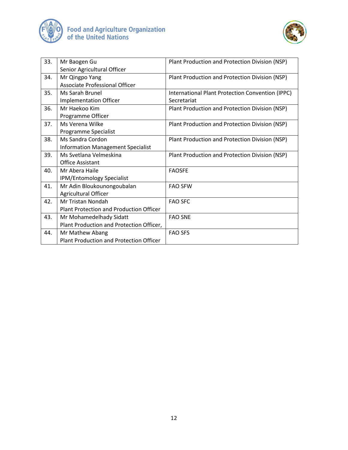



| 33. | Mr Baogen Gu                                   | Plant Production and Protection Division (NSP)   |
|-----|------------------------------------------------|--------------------------------------------------|
|     | Senior Agricultural Officer                    |                                                  |
| 34. | Mr Qingpo Yang                                 | Plant Production and Protection Division (NSP)   |
|     | Associate Professional Officer                 |                                                  |
| 35. | Ms Sarah Brunel                                | International Plant Protection Convention (IPPC) |
|     | <b>Implementation Officer</b>                  | Secretariat                                      |
| 36. | Mr Haekoo Kim                                  | Plant Production and Protection Division (NSP)   |
|     | Programme Officer                              |                                                  |
| 37. | Ms Verena Wilke                                | Plant Production and Protection Division (NSP)   |
|     | Programme Specialist                           |                                                  |
| 38. | Ms Sandra Cordon                               | Plant Production and Protection Division (NSP)   |
|     | <b>Information Management Specialist</b>       |                                                  |
| 39. | Ms Svetlana Velmeskina                         | Plant Production and Protection Division (NSP)   |
|     | <b>Office Assistant</b>                        |                                                  |
| 40. | Mr Abera Haile                                 | <b>FAOSFE</b>                                    |
|     | IPM/Entomology Specialist                      |                                                  |
| 41. | Mr Adin Bloukounongoubalan                     | <b>FAO SFW</b>                                   |
|     | Agricultural Officer                           |                                                  |
| 42. | <b>Mr Tristan Nondah</b>                       | <b>FAO SFC</b>                                   |
|     | Plant Protection and Production Officer        |                                                  |
| 43. | Mr Mohamedelhady Sidatt                        | <b>FAO SNE</b>                                   |
|     | Plant Production and Protection Officer,       |                                                  |
| 44. | Mr Mathew Abang                                | <b>FAO SFS</b>                                   |
|     | <b>Plant Production and Protection Officer</b> |                                                  |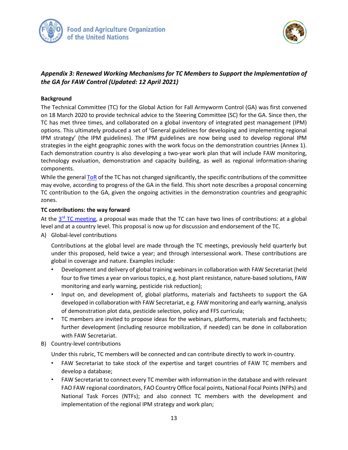



## <span id="page-12-0"></span>*Appendix 3: Renewed Working Mechanisms for TC Members to Support the Implementation of the GA for FAW Control (Updated: 12 April 2021)*

#### **Background**

The Technical Committee (TC) for the Global Action for Fall Armyworm Control (GA) was first convened on 18 March 2020 to provide technical advice to the Steering Committee (SC) for the GA. Since then, the TC has met three times, and collaborated on a global inventory of integrated pest management (IPM) options. This ultimately produced a set of 'General guidelines for developing and implementing regional IPM strategy' (the IPM guidelines). The IPM guidelines are now being used to develop regional IPM strategies in the eight geographic zones with the work focus on the demonstration countries (Annex 1). Each demonstration country is also developing a two-year work plan that will include FAW monitoring, technology evaluation, demonstration and capacity building, as well as regional information-sharing components.

While the genera[l ToR](http://www.fao.org/3/ca9769en/ca9769en.pdf) of the TC has not changed significantly, the specific contributions of the committee may evolve, according to progress of the GA in the field. This short note describes a proposal concerning TC contribution to the GA, given the ongoing activities in the demonstration countries and geographic zones.

#### **TC contributions: the way forward**

At the 3<sup>rd</sup> [TC meeting,](http://www.fao.org/3/cb2411en/cb2411en.pdf) a proposal was made that the TC can have two lines of contributions: at a global level and at a country level. This proposal is now up for discussion and endorsement of the TC.

A) Global-level contributions

Contributions at the global level are made through the TC meetings, previously held quarterly but under this proposed, held twice a year; and through intersessional work. These contributions are global in coverage and nature. Examples include:

- Development and delivery of global training webinars in collaboration with FAW Secretariat (held four to five times a year on various topics, e.g. host plant resistance, nature-based solutions, FAW monitoring and early warning, pesticide risk reduction);
- Input on, and development of, global platforms, materials and factsheets to support the GA developed in collaboration with FAW Secretariat, e.g. FAW monitoring and early warning, analysis of demonstration plot data, pesticide selection, policy and FFS curricula;
- TC members are invited to propose ideas for the webinars, platforms, materials and factsheets; further development (including resource mobilization, if needed) can be done in collaboration with FAW Secretariat.
- B) Country-level contributions

Under this rubric, TC members will be connected and can contribute directly to work in-country.

- FAW Secretariat to take stock of the expertise and target countries of FAW TC members and develop a database;
- FAW Secretariat to connect every TC member with information in the database and with relevant FAO FAW regional coordinators, FAO Country Office focal points, National Focal Points (NFPs) and National Task Forces (NTFs); and also connect TC members with the development and implementation of the regional IPM strategy and work plan;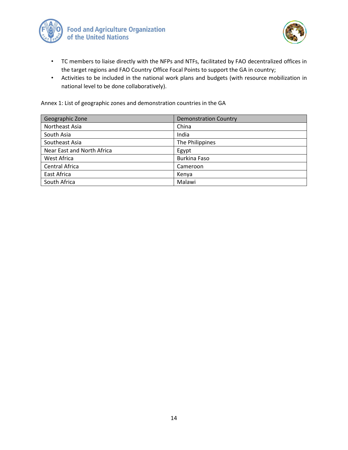



- TC members to liaise directly with the NFPs and NTFs, facilitated by FAO decentralized offices in the target regions and FAO Country Office Focal Points to support the GA in country;
- Activities to be included in the national work plans and budgets (with resource mobilization in national level to be done collaboratively).

Annex 1: List of geographic zones and demonstration countries in the GA

| Geographic Zone            | <b>Demonstration Country</b> |
|----------------------------|------------------------------|
| Northeast Asia             | China                        |
| South Asia                 | India                        |
| Southeast Asia             | The Philippines              |
| Near East and North Africa | Egypt                        |
| West Africa                | Burkina Faso                 |
| Central Africa             | Cameroon                     |
| East Africa                | Kenya                        |
| South Africa               | Malawi                       |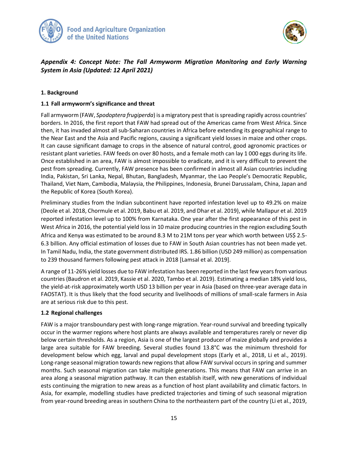



# <span id="page-14-0"></span>*Appendix 4: Concept Note: The Fall Armyworm Migration Monitoring and Early Warning System in Asia (Updated: 12 April 2021)*

#### **1. Background**

#### **1.1 Fall armyworm's significance and threat**

Fall armyworm (FAW, *Spodoptera frugiperda*) is a migratory pest that is spreading rapidly across countries' borders. In 2016, the first report that FAW had spread out of the Americas came from West Africa. Since then, it has invaded almost all sub-Saharan countries in Africa before extending its geographical range to the Near East and the Asia and Pacific regions, causing a significant yield losses in maize and other crops. It can cause significant damage to crops in the absence of natural control, good agronomic practices or resistant plant varieties. FAW feeds on over 80 hosts, and a female moth can lay 1 000 eggs during its life. Once established in an area, FAW is almost impossible to eradicate, and it is very difficult to prevent the pest from spreading. Currently, FAW presence has been confirmed in almost all Asian countries including India, Pakistan, Sri Lanka, Nepal, Bhutan, Bangladesh, Myanmar, the Lao People's Democratic Republic, Thailand, Viet Nam, Cambodia, Malaysia, the Philippines, Indonesia, Brunei Darussalam, China, Japan and the Republic of Korea (South Korea).

Preliminary studies from the Indian subcontinent have reported infestation level up to 49.2% on maize (Deole et al. 2018, Chormule et al. 2019, Babu et al. 2019, and Dhar et al. 2019), while Mallapur et al. 2019 reported infestation level up to 100% from Karnataka. One year after the first appearance of this pest in West Africa in 2016, the potential yield loss in 10 maize producing countries in the region excluding South Africa and Kenya was estimated to be around 8.3 M to 21M tons per year which worth between US\$ 2.5- 6.3 billion. Any official estimation of losses due to FAW in South Asian countries has not been made yet. In Tamil Nadu, India, the state government distributed IRS. 1.86 billion (USD 249 million) as compensation to 239 thousand farmers following pest attack in 2018 [Lamsal et al. 2019].

A range of 11-26% yield losses due to FAW infestation has been reported in the last few years from various countries (Baudron et al. 2019, Kassie et al. 2020, Tambo et al. 2019). Estimating a median 18% yield loss, the yield-at-risk approximately worth USD 13 billion per year in Asia (based on three-year average data in FAOSTAT). It is thus likely that the food security and livelihoods of millions of small-scale farmers in Asia are at serious risk due to this pest.

#### **1.2 Regional challenges**

FAW is a major transboundary pest with long-range migration. Year-round survival and breeding typically occur in the warmer regions where host plants are always available and temperatures rarely or never dip below certain thresholds. As a region, Asia is one of the largest producer of maize globally and provides a large area suitable for FAW breeding. Several studies found 13.8°C was the minimum threshold for development below which egg, larval and pupal development stops (Early et al., 2018, Li et al., 2019). Long-range seasonal migration towards new regions that allow FAW survival occurs in spring and summer months. Such seasonal migration can take multiple generations. This means that FAW can arrive in an area along a seasonal migration pathway. It can then establish itself, with new generations of individual ests continuing the migration to new areas as a function of host plant availability and climatic factors. In Asia, for example, modelling studies have predicted trajectories and timing of such seasonal migration from year-round breeding areas in southern China to the northeastern part of the country (Li et al., 2019,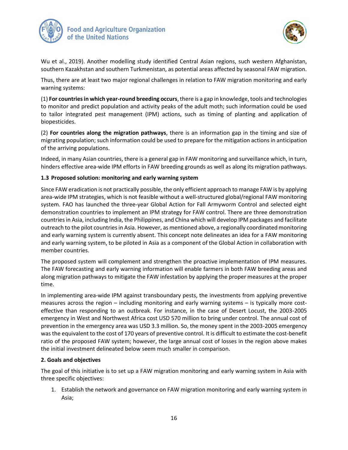



Wu et al., 2019). Another modelling study identified Central Asian regions, such western Afghanistan, southern Kazakhstan and southern Turkmenistan, as potential areas affected by seasonal FAW migration.

Thus, there are at least two major regional challenges in relation to FAW migration monitoring and early warning systems:

(1) **For countries in which year-round breeding occurs**, there is a gap in knowledge, tools and technologies to monitor and predict population and activity peaks of the adult moth; such information could be used to tailor integrated pest management (IPM) actions, such as timing of planting and application of biopesticides.

(2) **For countries along the migration pathways**, there is an information gap in the timing and size of migrating population; such information could be used to prepare for the mitigation actions in anticipation of the arriving populations.

Indeed, in many Asian countries, there is a general gap in FAW monitoring and surveillance which, in turn, hinders effective area-wide IPM efforts in FAW breeding grounds as well as along its migration pathways.

#### **1.3 Proposed solution: monitoring and early warning system**

Since FAW eradication is not practically possible, the only efficient approach to manage FAW is by applying area-wide IPM strategies, which is not feasible without a well-structured global/regional FAW monitoring system. FAO has launched the three-year Global Action for Fall Armyworm Control and selected eight demonstration countries to implement an IPM strategy for FAW control. There are three demonstration countries in Asia, including India, the Philippines, and China which will develop IPM packages and facilitate outreach to the pilot countries in Asia. However, as mentioned above, a regionally coordinated monitoring and early warning system is currently absent. This concept note delineates an idea for a FAW monitoring and early warning system, to be piloted in Asia as a component of the Global Action in collaboration with member countries.

The proposed system will complement and strengthen the proactive implementation of IPM measures. The FAW forecasting and early warning information will enable farmers in both FAW breeding areas and along migration pathways to mitigate the FAW infestation by applying the proper measures at the proper time.

In implementing area-wide IPM against transboundary pests, the investments from applying preventive measures across the region – including monitoring and early warning systems – is typically more costeffective than responding to an outbreak. For instance, in the case of Desert Locust, the 2003-2005 emergency in West and Northwest Africa cost USD 570 million to bring under control. The annual cost of prevention in the emergency area was USD 3.3 million. So, the money spent in the 2003-2005 emergency was the equivalent to the cost of 170 years of preventive control. It is difficult to estimate the cost-benefit ratio of the proposed FAW system; however, the large annual cost of losses in the region above makes the initial investment delineated below seem much smaller in comparison.

#### **2. Goals and objectives**

The goal of this initiative is to set up a FAW migration monitoring and early warning system in Asia with three specific objectives:

1. Establish the network and governance on FAW migration monitoring and early warning system in Asia;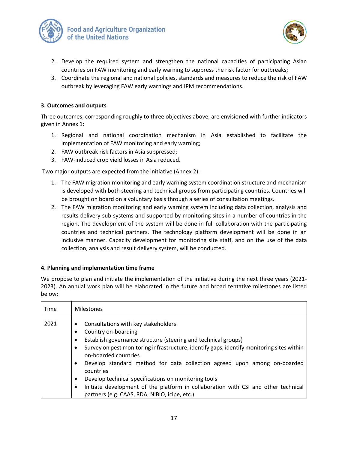



- 2. Develop the required system and strengthen the national capacities of participating Asian countries on FAW monitoring and early warning to suppress the risk factor for outbreaks;
- 3. Coordinate the regional and national policies, standards and measures to reduce the risk of FAW outbreak by leveraging FAW early warnings and IPM recommendations.

#### **3. Outcomes and outputs**

Three outcomes, corresponding roughly to three objectives above, are envisioned with further indicators given in Annex 1:

- 1. Regional and national coordination mechanism in Asia established to facilitate the implementation of FAW monitoring and early warning;
- 2. FAW outbreak risk factors in Asia suppressed;
- 3. FAW-induced crop yield losses in Asia reduced.

Two major outputs are expected from the initiative (Annex 2):

- 1. The FAW migration monitoring and early warning system coordination structure and mechanism is developed with both steering and technical groups from participating countries. Countries will be brought on board on a voluntary basis through a series of consultation meetings.
- 2. The FAW migration monitoring and early warning system including data collection, analysis and results delivery sub-systems and supported by monitoring sites in a number of countries in the region. The development of the system will be done in full collaboration with the participating countries and technical partners. The technology platform development will be done in an inclusive manner. Capacity development for monitoring site staff, and on the use of the data collection, analysis and result delivery system, will be conducted.

#### **4. Planning and implementation time frame**

We propose to plan and initiate the implementation of the initiative during the next three years (2021- 2023). An annual work plan will be elaborated in the future and broad tentative milestones are listed below:

| Time |
|------|
| 2021 |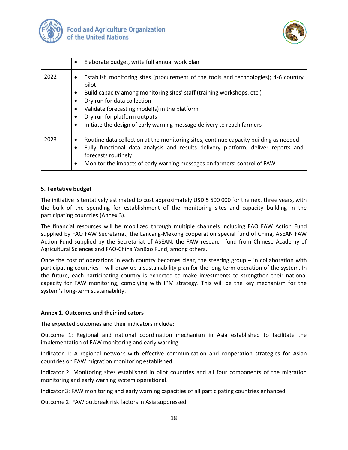



|      | Elaborate budget, write full annual work plan<br>$\bullet$                                                                                                                                                                                                                                                                                                                                  |
|------|---------------------------------------------------------------------------------------------------------------------------------------------------------------------------------------------------------------------------------------------------------------------------------------------------------------------------------------------------------------------------------------------|
| 2022 | Establish monitoring sites (procurement of the tools and technologies); 4-6 country<br>$\bullet$<br>pilot<br>Build capacity among monitoring sites' staff (training workshops, etc.)<br>$\bullet$<br>Dry run for data collection<br>Validate forecasting model(s) in the platform<br>Dry run for platform outputs<br>Initiate the design of early warning message delivery to reach farmers |
| 2023 | Routine data collection at the monitoring sites, continue capacity building as needed<br>$\bullet$<br>Fully functional data analysis and results delivery platform, deliver reports and<br>forecasts routinely<br>Monitor the impacts of early warning messages on farmers' control of FAW<br>$\bullet$                                                                                     |

#### **5. Tentative budget**

The initiative is tentatively estimated to cost approximately USD 5 500 000 for the next three years, with the bulk of the spending for establishment of the monitoring sites and capacity building in the participating countries (Annex 3).

The financial resources will be mobilized through multiple channels including FAO FAW Action Fund supplied by FAO FAW Secretariat, the Lancang-Mekong cooperation special fund of China, ASEAN FAW Action Fund supplied by the Secretariat of ASEAN, the FAW research fund from Chinese Academy of Agricultural Sciences and FAO-China YanBao Fund, among others.

Once the cost of operations in each country becomes clear, the steering group – in collaboration with participating countries – will draw up a sustainability plan for the long-term operation of the system. In the future, each participating country is expected to make investments to strengthen their national capacity for FAW monitoring, complying with IPM strategy. This will be the key mechanism for the system's long-term sustainability.

#### **Annex 1. Outcomes and their indicators**

The expected outcomes and their indicators include:

Outcome 1: Regional and national coordination mechanism in Asia established to facilitate the implementation of FAW monitoring and early warning.

Indicator 1: A regional network with effective communication and cooperation strategies for Asian countries on FAW migration monitoring established.

Indicator 2: Monitoring sites established in pilot countries and all four components of the migration monitoring and early warning system operational.

Indicator 3: FAW monitoring and early warning capacities of all participating countries enhanced.

Outcome 2: FAW outbreak risk factors in Asia suppressed.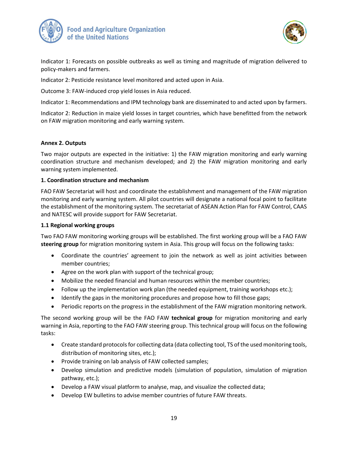



Indicator 1: Forecasts on possible outbreaks as well as timing and magnitude of migration delivered to policy-makers and farmers.

Indicator 2: Pesticide resistance level monitored and acted upon in Asia.

Outcome 3: FAW-induced crop yield losses in Asia reduced.

Indicator 1: Recommendations and IPM technology bank are disseminated to and acted upon by farmers.

Indicator 2: Reduction in maize yield losses in target countries, which have benefitted from the network on FAW migration monitoring and early warning system.

#### **Annex 2. Outputs**

Two major outputs are expected in the initiative: 1) the FAW migration monitoring and early warning coordination structure and mechanism developed; and 2) the FAW migration monitoring and early warning system implemented.

#### **1. Coordination structure and mechanism**

FAO FAW Secretariat will host and coordinate the establishment and management of the FAW migration monitoring and early warning system. All pilot countries will designate a national focal point to facilitate the establishment of the monitoring system. The secretariat of ASEAN Action Plan for FAW Control, CAAS and NATESC will provide support for FAW Secretariat.

#### **1.1 Regional working groups**

Two FAO FAW monitoring working groups will be established. The first working group will be a FAO FAW **steering group** for migration monitoring system in Asia. This group will focus on the following tasks:

- Coordinate the countries' agreement to join the network as well as joint activities between member countries;
- Agree on the work plan with support of the technical group;
- Mobilize the needed financial and human resources within the member countries;
- Follow up the implementation work plan (the needed equipment, training workshops etc.);
- Identify the gaps in the monitoring procedures and propose how to fill those gaps;
- Periodic reports on the progress in the establishment of the FAW migration monitoring network.

The second working group will be the FAO FAW **technical group** for migration monitoring and early warning in Asia, reporting to the FAO FAW steering group. This technical group will focus on the following tasks:

- Create standard protocols for collecting data (data collecting tool, TS of the used monitoring tools, distribution of monitoring sites, etc.);
- Provide training on lab analysis of FAW collected samples;
- Develop simulation and predictive models (simulation of population, simulation of migration pathway, etc.);
- Develop a FAW visual platform to analyse, map, and visualize the collected data;
- Develop EW bulletins to advise member countries of future FAW threats.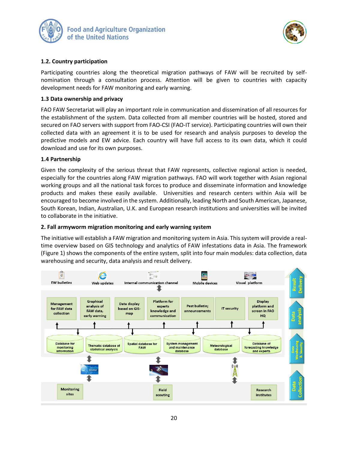



#### **1.2. Country participation**

Participating countries along the theoretical migration pathways of FAW will be recruited by selfnomination through a consultation process. Attention will be given to countries with capacity development needs for FAW monitoring and early warning.

#### **1.3 Data ownership and privacy**

FAO FAW Secretariat will play an important role in communication and dissemination of all resources for the establishment of the system. Data collected from all member countries will be hosted, stored and secured on FAO servers with support from FAO-CSI (FAO-IT service). Participating countries will own their collected data with an agreement it is to be used for research and analysis purposes to develop the predictive models and EW advice. Each country will have full access to its own data, which it could download and use for its own purposes.

#### **1.4 Partnership**

Given the complexity of the serious threat that FAW represents, collective regional action is needed, especially for the countries along FAW migration pathways. FAO will work together with Asian regional working groups and all the national task forces to produce and disseminate information and knowledge products and makes these easily available. Universities and research centers within Asia will be encouraged to become involved in the system. Additionally, leading North and South American, Japanese, South Korean, Indian, Australian, U.K. and European research institutions and universities will be invited to collaborate in the initiative.

#### **2. Fall armyworm migration monitoring and early warning system**

The initiative will establish a FAW migration and monitoring system in Asia. This system will provide a realtime overview based on GIS technology and analytics of FAW infestations data in Asia. The framework (Figure 1) shows the components of the entire system, split into four main modules: data collection, data warehousing and security, data analysis and result delivery.

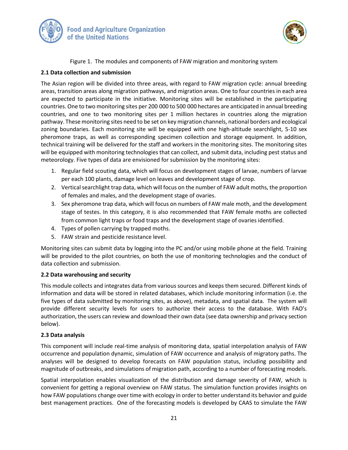



#### Figure 1. The modules and components of FAW migration and monitoring system

#### **2.1 Data collection and submission**

The Asian region will be divided into three areas, with regard to FAW migration cycle: annual breeding areas, transition areas along migration pathways, and migration areas. One to four countries in each area are expected to participate in the initiative. Monitoring sites will be established in the participating countries. One to two monitoring sites per 200 000 to 500 000 hectares are anticipated in annual breeding countries, and one to two monitoring sites per 1 million hectares in countries along the migration pathway. These monitoring sites need to be set on key migration channels, national borders and ecological zoning boundaries. Each monitoring site will be equipped with one high-altitude searchlight, 5-10 sex pheromone traps, as well as corresponding specimen collection and storage equipment. In addition, technical training will be delivered for the staff and workers in the monitoring sites. The monitoring sites will be equipped with monitoring technologies that can collect, and submit data, including pest status and meteorology. Five types of data are envisioned for submission by the monitoring sites:

- 1. Regular field scouting data, which will focus on development stages of larvae, numbers of larvae per each 100 plants, damage level on leaves and development stage of crop.
- 2. Vertical searchlight trap data, which will focus on the number of FAW adult moths, the proportion of females and males, and the development stage of ovaries.
- 3. Sex pheromone trap data, which will focus on numbers of FAW male moth, and the development stage of testes. In this category, it is also recommended that FAW female moths are collected from common light traps or food traps and the development stage of ovaries identified.
- 4. Types of pollen carrying by trapped moths.
- 5. FAW strain and pesticide resistance level.

Monitoring sites can submit data by logging into the PC and/or using mobile phone at the field. Training will be provided to the pilot countries, on both the use of monitoring technologies and the conduct of data collection and submission.

#### **2.2 Data warehousing and security**

This module collects and integrates data from various sources and keeps them secured. Different kinds of information and data will be stored in related databases, which include monitoring information (i.e. the five types of data submitted by monitoring sites, as above), metadata, and spatial data. The system will provide different security levels for users to authorize their access to the database. With FAO's authorization, the users can review and download their own data (see data ownership and privacy section below).

#### **2.3 Data analysis**

This component will include real-time analysis of monitoring data, spatial interpolation analysis of FAW occurrence and population dynamic, simulation of FAW occurrence and analysis of migratory paths. The analyses will be designed to develop forecasts on FAW population status, including possibility and magnitude of outbreaks, and simulations of migration path, according to a number of forecasting models.

Spatial interpolation enables visualization of the distribution and damage severity of FAW, which is convenient for getting a regional overview on FAW status. The simulation function provides insights on how FAW populations change over time with ecology in order to better understand its behavior and guide best management practices. One of the forecasting models is developed by CAAS to simulate the FAW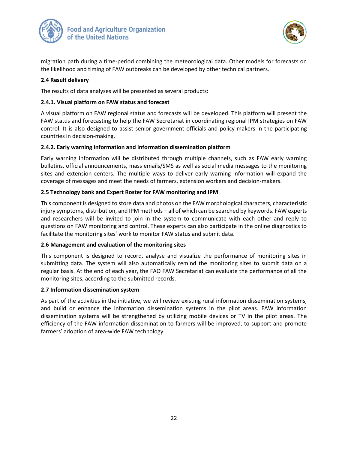



migration path during a time-period combining the meteorological data. Other models for forecasts on the likelihood and timing of FAW outbreaks can be developed by other technical partners.

#### **2.4 Result delivery**

The results of data analyses will be presented as several products:

#### **2.4.1. Visual platform on FAW status and forecast**

A visual platform on FAW regional status and forecasts will be developed. This platform will present the FAW status and forecasting to help the FAW Secretariat in coordinating regional IPM strategies on FAW control. It is also designed to assist senior government officials and policy-makers in the participating countries in decision-making.

#### **2.4.2. Early warning information and information dissemination platform**

Early warning information will be distributed through multiple channels, such as FAW early warning bulletins, official announcements, mass emails/SMS as well as social media messages to the monitoring sites and extension centers. The multiple ways to deliver early warning information will expand the coverage of messages and meet the needs of farmers, extension workers and decision-makers.

#### **2.5 Technology bank and Expert Roster for FAW monitoring and IPM**

This component is designed to store data and photos on the FAW morphological characters, characteristic injury symptoms, distribution, and IPM methods – all of which can be searched by keywords. FAW experts and researchers will be invited to join in the system to communicate with each other and reply to questions on FAW monitoring and control. These experts can also participate in the online diagnostics to facilitate the monitoring sites' work to monitor FAW status and submit data.

#### **2.6 Management and evaluation of the monitoring sites**

This component is designed to record, analyse and visualize the performance of monitoring sites in submitting data. The system will also automatically remind the monitoring sites to submit data on a regular basis. At the end of each year, the FAO FAW Secretariat can evaluate the performance of all the monitoring sites, according to the submitted records.

#### **2.7 Information dissemination system**

As part of the activities in the initiative, we will review existing rural information dissemination systems, and build or enhance the information dissemination systems in the pilot areas. FAW information dissemination systems will be strengthened by utilizing mobile devices or TV in the pilot areas. The efficiency of the FAW information dissemination to farmers will be improved, to support and promote farmers' adoption of area-wide FAW technology.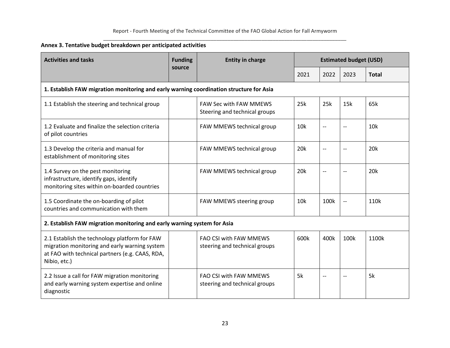#### Report - Fourth Meeting of the Technical Committee of the FAO Global Action for Fall Armyworm \_\_\_\_\_\_\_\_\_\_\_\_\_\_\_\_\_\_\_\_\_\_\_\_\_\_\_\_\_\_\_\_\_\_\_\_\_\_\_\_\_\_\_\_\_\_\_\_\_\_\_\_\_\_\_\_\_\_\_\_\_\_\_\_\_\_\_\_\_\_\_\_\_\_\_\_\_\_\_\_\_\_\_\_\_\_

# **Annex 3. Tentative budget breakdown per anticipated activities**

| <b>Activities and tasks</b>                                                                                                                                       | <b>Funding</b><br><b>Entity in charge</b>                                               | <b>Estimated budget (USD)</b>                                  |                 |                          |                          |                 |  |  |  |
|-------------------------------------------------------------------------------------------------------------------------------------------------------------------|-----------------------------------------------------------------------------------------|----------------------------------------------------------------|-----------------|--------------------------|--------------------------|-----------------|--|--|--|
|                                                                                                                                                                   | source                                                                                  |                                                                | 2021            | 2022                     | 2023                     | <b>Total</b>    |  |  |  |
|                                                                                                                                                                   | 1. Establish FAW migration monitoring and early warning coordination structure for Asia |                                                                |                 |                          |                          |                 |  |  |  |
| 1.1 Establish the steering and technical group                                                                                                                    |                                                                                         | <b>FAW Sec with FAW MMEWS</b><br>Steering and technical groups | 25k             | 25k                      | 15k                      | 65k             |  |  |  |
| 1.2 Evaluate and finalize the selection criteria<br>of pilot countries                                                                                            |                                                                                         | FAW MMEWS technical group                                      | 10k             | $\overline{\phantom{a}}$ | $-$                      | 10k             |  |  |  |
| 1.3 Develop the criteria and manual for<br>establishment of monitoring sites                                                                                      |                                                                                         | FAW MMEWS technical group                                      | 20 <sub>k</sub> | $-$                      |                          | 20 <sub>k</sub> |  |  |  |
| 1.4 Survey on the pest monitoring<br>infrastructure, identify gaps, identify<br>monitoring sites within on-boarded countries                                      |                                                                                         | FAW MMEWS technical group                                      | 20 <sub>k</sub> | $\overline{\phantom{a}}$ | $\overline{\phantom{a}}$ | 20 <sub>k</sub> |  |  |  |
| 1.5 Coordinate the on-boarding of pilot<br>countries and communication with them                                                                                  |                                                                                         | FAW MMEWS steering group                                       | 10k             | 100k                     | --                       | 110k            |  |  |  |
| 2. Establish FAW migration monitoring and early warning system for Asia                                                                                           |                                                                                         |                                                                |                 |                          |                          |                 |  |  |  |
| 2.1 Establish the technology platform for FAW<br>migration monitoring and early warning system<br>at FAO with technical partners (e.g. CAAS, RDA,<br>Nibio, etc.) |                                                                                         | <b>FAO CSI with FAW MMEWS</b><br>steering and technical groups | 600k            | 400k                     | 100k                     | 1100k           |  |  |  |
| 2.2 Issue a call for FAW migration monitoring<br>and early warning system expertise and online<br>diagnostic                                                      |                                                                                         | <b>FAO CSI with FAW MMEWS</b><br>steering and technical groups | 5k              | --                       |                          | 5k              |  |  |  |